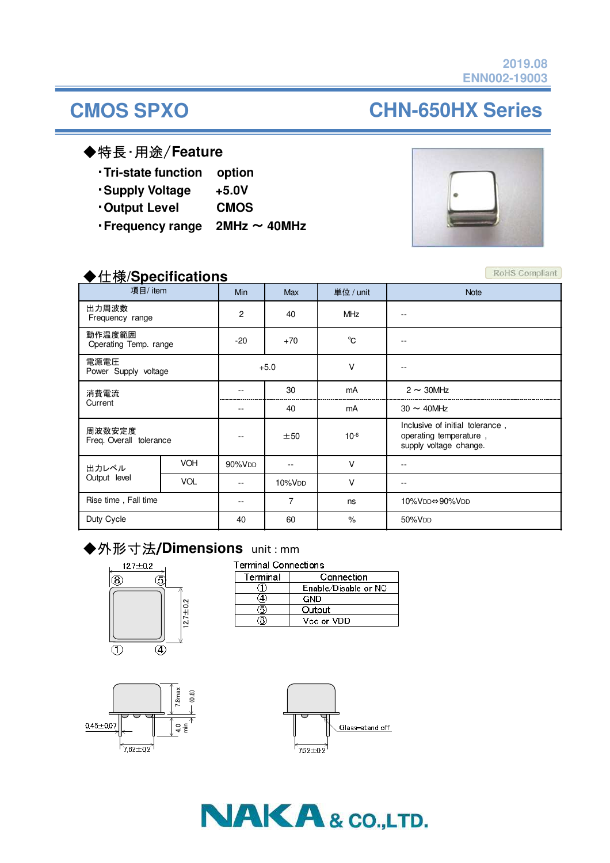# **CMOS SPXO CHN-650HX Series**

#### ◆特長・用途/**Feature**

・**Tri-state function option**

- ・**Supply Voltage +5.0V**
- ・**Output Level CMOS**
- ・**Frequency range 2MHz** ~ **40MHz**



#### ◆仕様**/Specifications**

| $\sqrt{2}$ in productions<br>項目/item |            | <b>Min</b>         | <b>Max</b>         | 単位 / unit    | <b>Note</b>                                                                         |
|--------------------------------------|------------|--------------------|--------------------|--------------|-------------------------------------------------------------------------------------|
| 出力周波数<br>Frequency range             |            | 2                  | 40                 | <b>MHz</b>   | --                                                                                  |
| 動作温度範囲<br>Operating Temp. range      |            | $-20$              | $+70$              | $^{\circ}$ C | $- -$                                                                               |
| 電源電圧<br>Power Supply voltage         |            | $+5.0$             |                    | $\vee$       | --                                                                                  |
| 消費電流<br>Current                      |            |                    | 30                 | mA           | $2 \sim 30$ MHz                                                                     |
|                                      |            |                    | 40                 | mA           | $30 \sim 40$ MHz                                                                    |
| 周波数安定度<br>Freq. Overall tolerance    |            |                    | ±50                | $10^{-6}$    | Inclusive of initial tolerance,<br>operating temperature,<br>supply voltage change. |
| 出力レベル<br>Output level                | <b>VOH</b> | 90%V <sub>DD</sub> | $-$                | $\vee$       | --                                                                                  |
|                                      | <b>VOL</b> |                    | 10%V <sub>DD</sub> | $\vee$       |                                                                                     |
| Rise time, Fall time                 |            | --                 | $\overline{7}$     | ns           | 10%VDD⇔90%VDD                                                                       |
| Duty Cycle                           |            | 40                 | 60                 | $\%$         | 50%V <sub>DD</sub>                                                                  |

### ◆外形寸法**/Dimensions** unit : mm



| <b>Terminal Connections</b> |                      |  |  |  |
|-----------------------------|----------------------|--|--|--|
| Terminal                    | Connection           |  |  |  |
|                             | Enable/Disable or NC |  |  |  |
|                             | GND                  |  |  |  |
|                             | Output               |  |  |  |
|                             | Vcc or VDD           |  |  |  |







RoHS Compliant